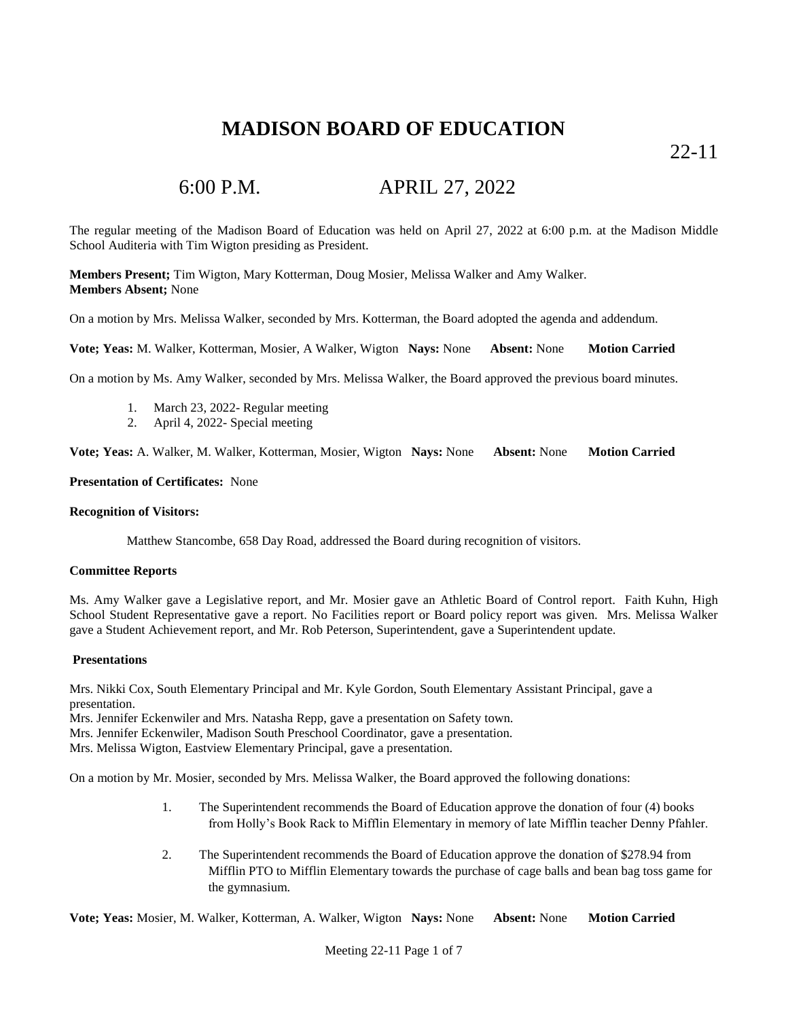22-11

# 6:00 P.M. APRIL 27, 2022

The regular meeting of the Madison Board of Education was held on April 27, 2022 at 6:00 p.m. at the Madison Middle School Auditeria with Tim Wigton presiding as President.

**Members Present;** Tim Wigton, Mary Kotterman, Doug Mosier, Melissa Walker and Amy Walker. **Members Absent;** None

On a motion by Mrs. Melissa Walker, seconded by Mrs. Kotterman, the Board adopted the agenda and addendum.

**Vote; Yeas:** M. Walker, Kotterman, Mosier, A Walker, Wigton **Nays:** None **Absent:** None **Motion Carried**

On a motion by Ms. Amy Walker, seconded by Mrs. Melissa Walker, the Board approved the previous board minutes.

- 1. March 23, 2022- Regular meeting
- 2. April 4, 2022- Special meeting

**Vote; Yeas:** A. Walker, M. Walker, Kotterman, Mosier, Wigton **Nays:** None **Absent:** None **Motion Carried**

#### **Presentation of Certificates:** None

#### **Recognition of Visitors:**

Matthew Stancombe, 658 Day Road, addressed the Board during recognition of visitors.

#### **Committee Reports**

Ms. Amy Walker gave a Legislative report, and Mr. Mosier gave an Athletic Board of Control report. Faith Kuhn, High School Student Representative gave a report. No Facilities report or Board policy report was given. Mrs. Melissa Walker gave a Student Achievement report, and Mr. Rob Peterson, Superintendent, gave a Superintendent update.

### **Presentations**

Mrs. Nikki Cox, South Elementary Principal and Mr. Kyle Gordon, South Elementary Assistant Principal, gave a presentation.

Mrs. Jennifer Eckenwiler and Mrs. Natasha Repp, gave a presentation on Safety town.

Mrs. Jennifer Eckenwiler, Madison South Preschool Coordinator, gave a presentation.

Mrs. Melissa Wigton, Eastview Elementary Principal, gave a presentation.

On a motion by Mr. Mosier, seconded by Mrs. Melissa Walker, the Board approved the following donations:

- 1. The Superintendent recommends the Board of Education approve the donation of four (4) books from Holly's Book Rack to Mifflin Elementary in memory of late Mifflin teacher Denny Pfahler.
- 2. The Superintendent recommends the Board of Education approve the donation of \$278.94 from Mifflin PTO to Mifflin Elementary towards the purchase of cage balls and bean bag toss game for the gymnasium.

**Vote; Yeas:** Mosier, M. Walker, Kotterman, A. Walker, Wigton **Nays:** None **Absent:** None **Motion Carried**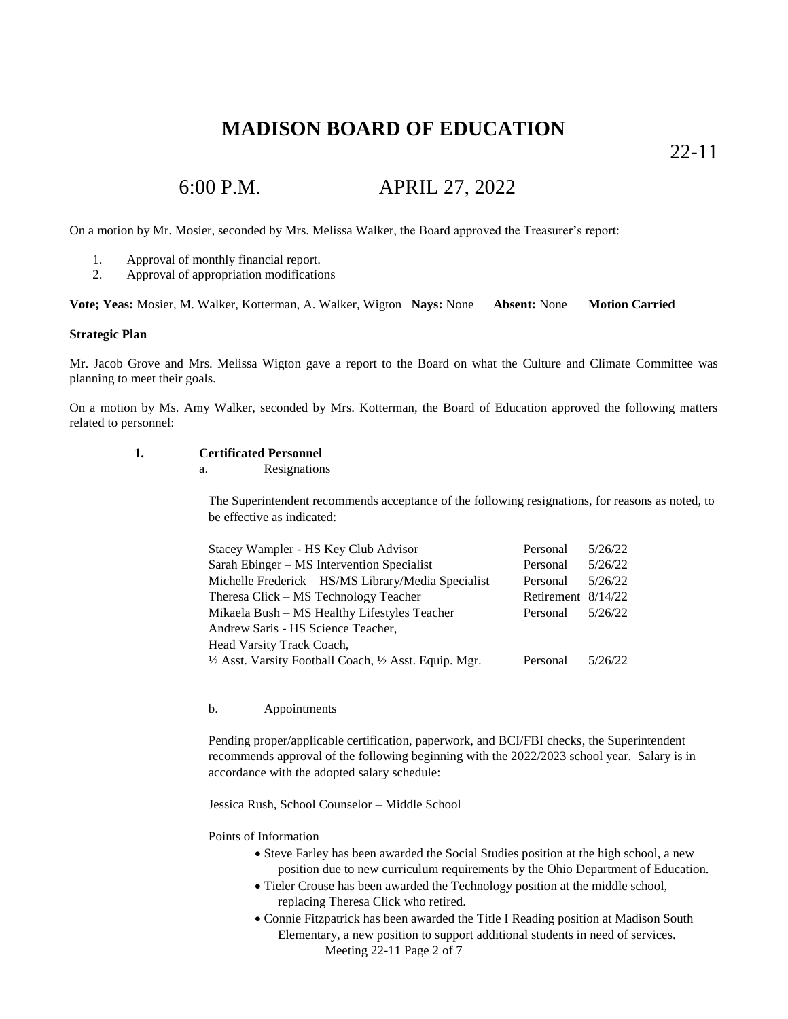22-11

## 6:00 P.M. APRIL 27, 2022

On a motion by Mr. Mosier, seconded by Mrs. Melissa Walker, the Board approved the Treasurer's report:

- 1. Approval of monthly financial report.
- 2. Approval of appropriation modifications

**Vote; Yeas:** Mosier, M. Walker, Kotterman, A. Walker, Wigton **Nays:** None **Absent:** None **Motion Carried**

#### **Strategic Plan**

Mr. Jacob Grove and Mrs. Melissa Wigton gave a report to the Board on what the Culture and Climate Committee was planning to meet their goals.

On a motion by Ms. Amy Walker, seconded by Mrs. Kotterman, the Board of Education approved the following matters related to personnel:

### **1. Certificated Personnel**

a. Resignations

The Superintendent recommends acceptance of the following resignations, for reasons as noted, to be effective as indicated:

| Stacey Wampler - HS Key Club Advisor                    | Personal             | 5/26/22 |
|---------------------------------------------------------|----------------------|---------|
| Sarah Ebinger – MS Intervention Specialist              | Personal             | 5/26/22 |
| Michelle Frederick - HS/MS Library/Media Specialist     | Personal             | 5/26/22 |
| Theresa Click – MS Technology Teacher                   | Retirement $8/14/22$ |         |
| Mikaela Bush - MS Healthy Lifestyles Teacher            | Personal             | 5/26/22 |
| Andrew Saris - HS Science Teacher,                      |                      |         |
| Head Varsity Track Coach,                               |                      |         |
| 1/2 Asst. Varsity Football Coach, 1/2 Asst. Equip. Mgr. | Personal             | 5/26/22 |

#### b. Appointments

Pending proper/applicable certification, paperwork, and BCI/FBI checks, the Superintendent recommends approval of the following beginning with the 2022/2023 school year. Salary is in accordance with the adopted salary schedule:

Jessica Rush, School Counselor – Middle School

Points of Information

- Steve Farley has been awarded the Social Studies position at the high school, a new position due to new curriculum requirements by the Ohio Department of Education.
- Tieler Crouse has been awarded the Technology position at the middle school, replacing Theresa Click who retired.
- Meeting 22-11 Page 2 of 7 Connie Fitzpatrick has been awarded the Title I Reading position at Madison South Elementary, a new position to support additional students in need of services.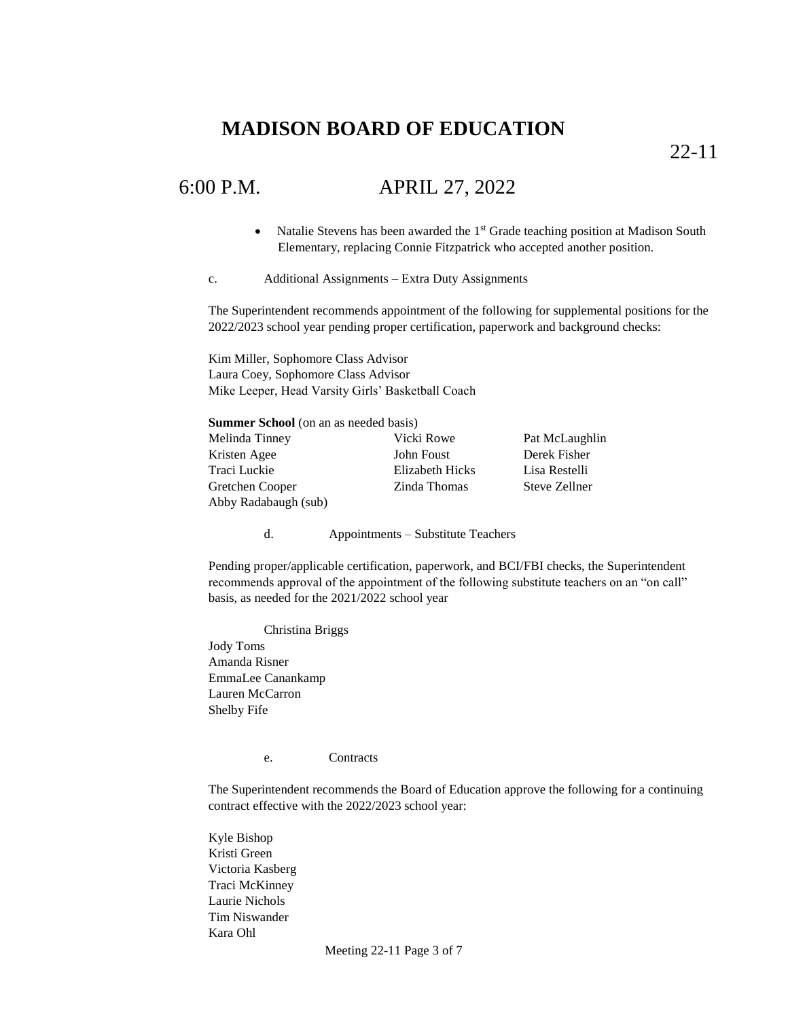22-11

### 6:00 P.M. APRIL 27, 2022

- Natalie Stevens has been awarded the  $1<sup>st</sup>$  Grade teaching position at Madison South Elementary, replacing Connie Fitzpatrick who accepted another position.
- c. Additional Assignments Extra Duty Assignments

The Superintendent recommends appointment of the following for supplemental positions for the 2022/2023 school year pending proper certification, paperwork and background checks:

Kim Miller, Sophomore Class Advisor Laura Coey, Sophomore Class Advisor Mike Leeper, Head Varsity Girls' Basketball Coach

| <b>Summer School</b> (on an as needed basis) |                 |                |
|----------------------------------------------|-----------------|----------------|
| Melinda Tinney                               | Vicki Rowe      | Pat McLaughlin |
| Kristen Agee                                 | John Foust      | Derek Fisher   |
| Traci Luckie                                 | Elizabeth Hicks | Lisa Restelli  |
| Gretchen Cooper                              | Zinda Thomas    | Steve Zellner  |
| Abby Radabaugh (sub)                         |                 |                |

d. Appointments – Substitute Teachers

Pending proper/applicable certification, paperwork, and BCI/FBI checks, the Superintendent recommends approval of the appointment of the following substitute teachers on an "on call" basis, as needed for the 2021/2022 school year

Christina Briggs Jody Toms Amanda Risner EmmaLee Canankamp Lauren McCarron Shelby Fife

e. Contracts

The Superintendent recommends the Board of Education approve the following for a continuing contract effective with the 2022/2023 school year:

Kyle Bishop Kristi Green Victoria Kasberg Traci McKinney Laurie Nichols Tim Niswander Kara Ohl

Meeting 22-11 Page 3 of 7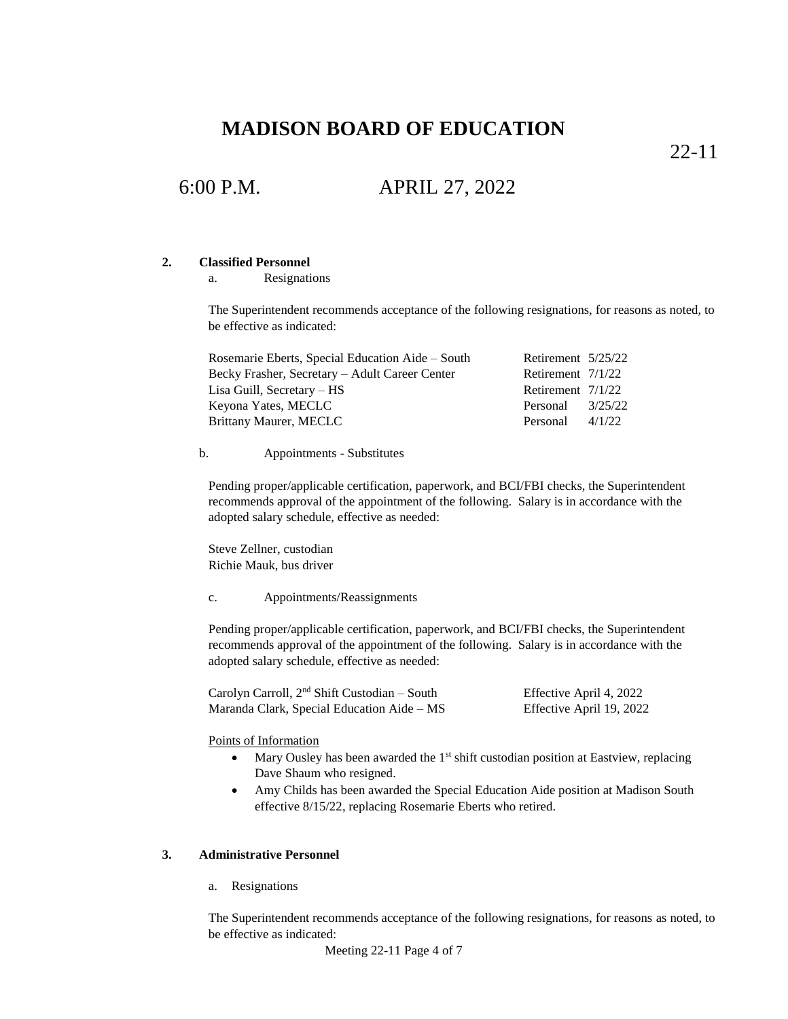22-11

## 6:00 P.M. APRIL 27, 2022

### **2. Classified Personnel**

a. Resignations

The Superintendent recommends acceptance of the following resignations, for reasons as noted, to be effective as indicated:

| Rosemarie Eberts, Special Education Aide – South | Retirement 5/25/22  |         |
|--------------------------------------------------|---------------------|---------|
| Becky Frasher, Secretary – Adult Career Center   | Retirement $7/1/22$ |         |
| Lisa Guill, Secretary – HS                       | Retirement $7/1/22$ |         |
| Keyona Yates, MECLC                              | Personal            | 3/25/22 |
| Brittany Maurer, MECLC                           | Personal            | 4/1/22  |

b. Appointments - Substitutes

Pending proper/applicable certification, paperwork, and BCI/FBI checks, the Superintendent recommends approval of the appointment of the following. Salary is in accordance with the adopted salary schedule, effective as needed:

Steve Zellner, custodian Richie Mauk, bus driver

c. Appointments/Reassignments

Pending proper/applicable certification, paperwork, and BCI/FBI checks, the Superintendent recommends approval of the appointment of the following. Salary is in accordance with the adopted salary schedule, effective as needed:

| Carolyn Carroll, $2nd$ Shift Custodian – South | Effective April 4, 2022  |
|------------------------------------------------|--------------------------|
| Maranda Clark, Special Education Aide – MS     | Effective April 19, 2022 |

#### Points of Information

- $\bullet$  Mary Ousley has been awarded the 1<sup>st</sup> shift custodian position at Eastview, replacing Dave Shaum who resigned.
- Amy Childs has been awarded the Special Education Aide position at Madison South effective 8/15/22, replacing Rosemarie Eberts who retired.

#### **3. Administrative Personnel**

a. Resignations

The Superintendent recommends acceptance of the following resignations, for reasons as noted, to be effective as indicated:

```
Meeting 22-11 Page 4 of 7
```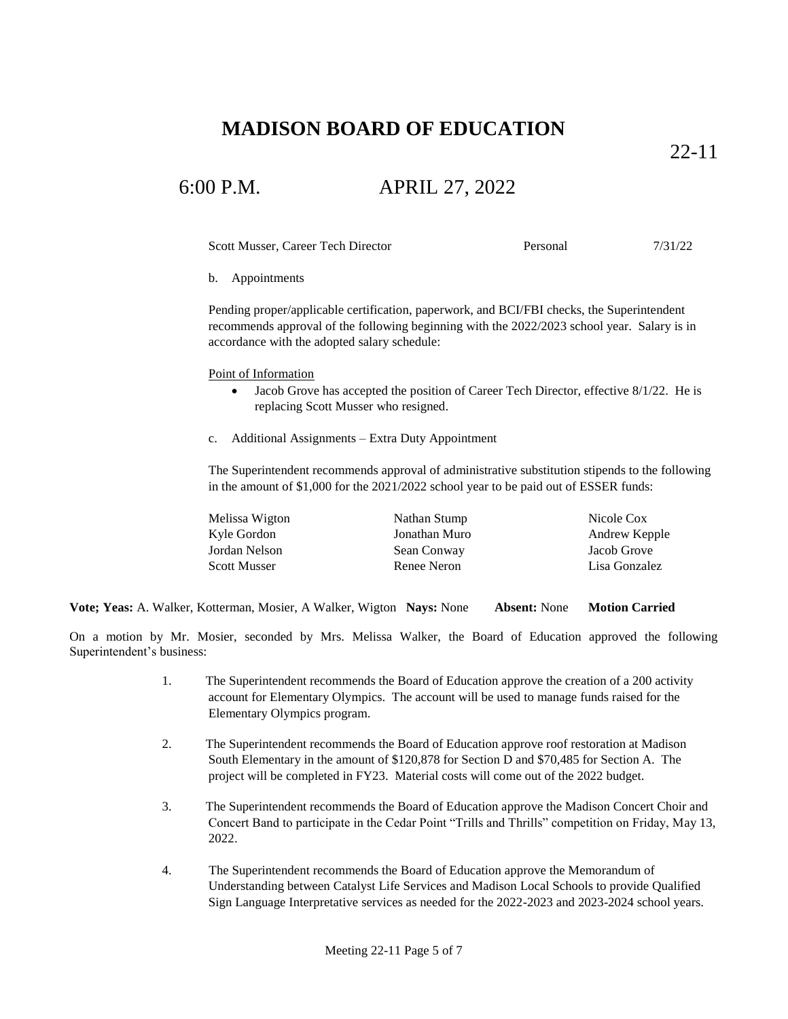22-11

## 6:00 P.M. APRIL 27, 2022

Scott Musser, Career Tech Director Personal 7/31/22

b. Appointments

Pending proper/applicable certification, paperwork, and BCI/FBI checks, the Superintendent recommends approval of the following beginning with the 2022/2023 school year. Salary is in accordance with the adopted salary schedule:

Point of Information

- Jacob Grove has accepted the position of Career Tech Director, effective 8/1/22. He is replacing Scott Musser who resigned.
- c. Additional Assignments Extra Duty Appointment

The Superintendent recommends approval of administrative substitution stipends to the following in the amount of \$1,000 for the 2021/2022 school year to be paid out of ESSER funds:

| Melissa Wigton      | Nathan Stump  | Nicole Cox    |
|---------------------|---------------|---------------|
| Kyle Gordon         | Jonathan Muro | Andrew Kepple |
| Jordan Nelson       | Sean Conway   | Jacob Grove   |
| <b>Scott Musser</b> | Renee Neron   | Lisa Gonzalez |

**Vote; Yeas:** A. Walker, Kotterman, Mosier, A Walker, Wigton **Nays:** None **Absent:** None **Motion Carried**

On a motion by Mr. Mosier, seconded by Mrs. Melissa Walker, the Board of Education approved the following Superintendent's business:

- 1. The Superintendent recommends the Board of Education approve the creation of a 200 activity account for Elementary Olympics. The account will be used to manage funds raised for the Elementary Olympics program.
- 2. The Superintendent recommends the Board of Education approve roof restoration at Madison South Elementary in the amount of \$120,878 for Section D and \$70,485 for Section A. The project will be completed in FY23. Material costs will come out of the 2022 budget.
- 3. The Superintendent recommends the Board of Education approve the Madison Concert Choir and Concert Band to participate in the Cedar Point "Trills and Thrills" competition on Friday, May 13, 2022.
- 4. The Superintendent recommends the Board of Education approve the Memorandum of Understanding between Catalyst Life Services and Madison Local Schools to provide Qualified Sign Language Interpretative services as needed for the 2022-2023 and 2023-2024 school years.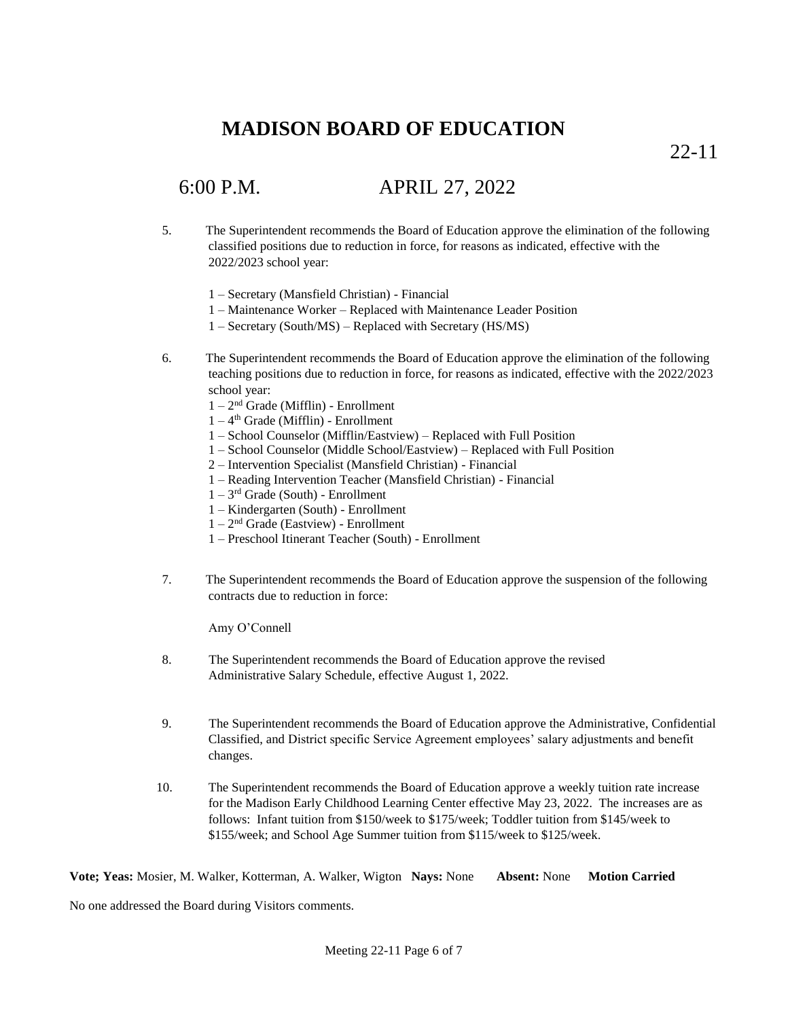22-11

# 6:00 P.M. APRIL 27, 2022

- 5. The Superintendent recommends the Board of Education approve the elimination of the following classified positions due to reduction in force, for reasons as indicated, effective with the 2022/2023 school year:
	- 1 Secretary (Mansfield Christian) Financial
	- 1 Maintenance Worker Replaced with Maintenance Leader Position
	- 1 Secretary (South/MS) Replaced with Secretary (HS/MS)
- 6. The Superintendent recommends the Board of Education approve the elimination of the following teaching positions due to reduction in force, for reasons as indicated, effective with the 2022/2023 school year:
	- 1 2 nd Grade (Mifflin) Enrollment
	- 1 4 th Grade (Mifflin) Enrollment
	- 1 School Counselor (Mifflin/Eastview) Replaced with Full Position
	- 1 School Counselor (Middle School/Eastview) Replaced with Full Position
	- 2 Intervention Specialist (Mansfield Christian) Financial
	- 1 Reading Intervention Teacher (Mansfield Christian) Financial
	- $1 3<sup>rd</sup>$  Grade (South) Enrollment
	- 1 Kindergarten (South) Enrollment
	- 1 2 nd Grade (Eastview) Enrollment
	- 1 Preschool Itinerant Teacher (South) Enrollment
- 7. The Superintendent recommends the Board of Education approve the suspension of the following contracts due to reduction in force:

Amy O'Connell

- 8. The Superintendent recommends the Board of Education approve the revised Administrative Salary Schedule, effective August 1, 2022.
- 9. The Superintendent recommends the Board of Education approve the Administrative, Confidential Classified, and District specific Service Agreement employees' salary adjustments and benefit changes.
- 10. The Superintendent recommends the Board of Education approve a weekly tuition rate increase for the Madison Early Childhood Learning Center effective May 23, 2022. The increases are as follows: Infant tuition from \$150/week to \$175/week; Toddler tuition from \$145/week to \$155/week; and School Age Summer tuition from \$115/week to \$125/week.

**Vote; Yeas:** Mosier, M. Walker, Kotterman, A. Walker, Wigton **Nays:** None **Absent:** None **Motion Carried**

No one addressed the Board during Visitors comments.